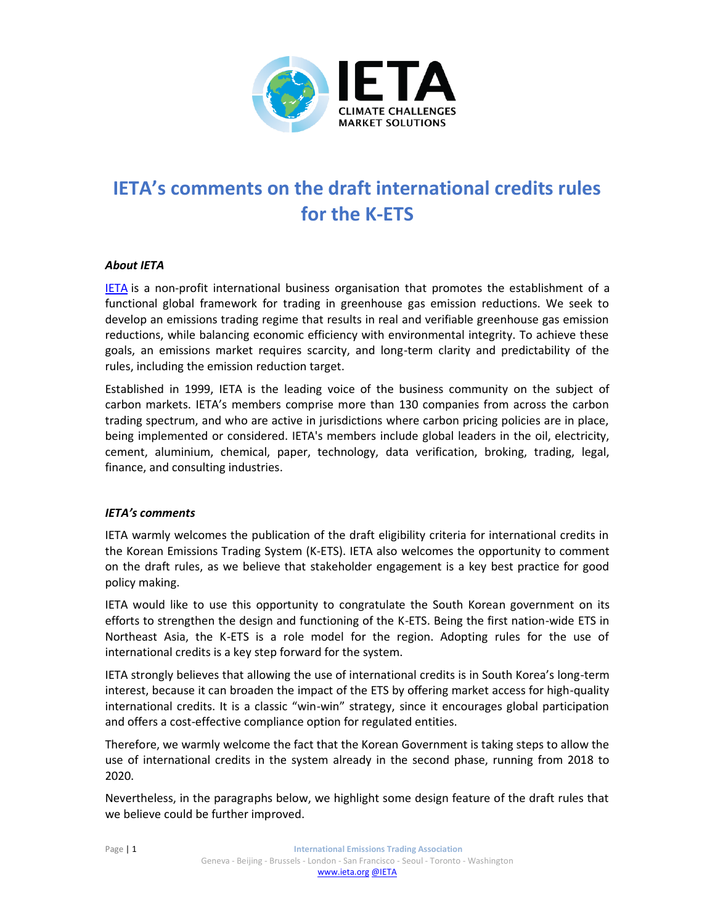

## **IETA's comments on the draft international credits rules for the K-ETS**

## *About IETA*

**[IETA](http://www.ieta.org/)** is a non-profit international business organisation that promotes the establishment of a functional global framework for trading in greenhouse gas emission reductions. We seek to develop an emissions trading regime that results in real and verifiable greenhouse gas emission reductions, while balancing economic efficiency with environmental integrity. To achieve these goals, an emissions market requires scarcity, and long-term clarity and predictability of the rules, including the emission reduction target.

Established in 1999, IETA is the leading voice of the business community on the subject of carbon markets. IETA's members comprise more than 130 companies from across the carbon trading spectrum, and who are active in jurisdictions where carbon pricing policies are in place, being implemented or considered. IETA's members include global leaders in the oil, electricity, cement, aluminium, chemical, paper, technology, data verification, broking, trading, legal, finance, and consulting industries.

## *IETA's comments*

IETA warmly welcomes the publication of the draft eligibility criteria for international credits in the Korean Emissions Trading System (K-ETS). IETA also welcomes the opportunity to comment on the draft rules, as we believe that stakeholder engagement is a key best practice for good policy making.

IETA would like to use this opportunity to congratulate the South Korean government on its efforts to strengthen the design and functioning of the K-ETS. Being the first nation-wide ETS in Northeast Asia, the K-ETS is a role model for the region. Adopting rules for the use of international credits is a key step forward for the system.

IETA strongly believes that allowing the use of international credits is in South Korea's long-term interest, because it can broaden the impact of the ETS by offering market access for high-quality international credits. It is a classic "win-win" strategy, since it encourages global participation and offers a cost-effective compliance option for regulated entities.

Therefore, we warmly welcome the fact that the Korean Government is taking steps to allow the use of international credits in the system already in the second phase, running from 2018 to 2020.

Nevertheless, in the paragraphs below, we highlight some design feature of the draft rules that we believe could be further improved.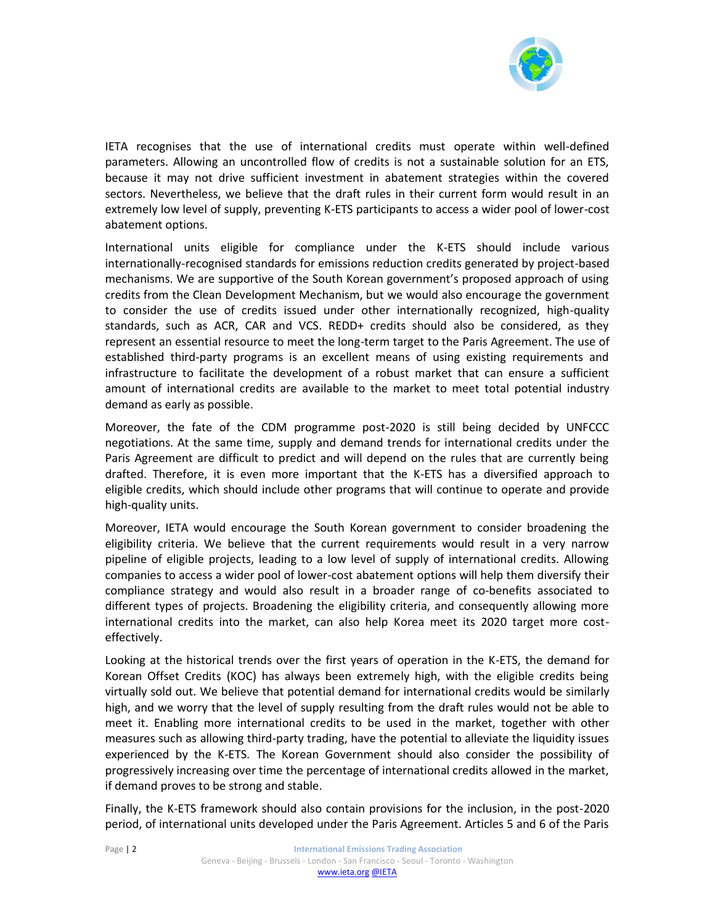

IETA recognises that the use of international credits must operate within well-defined parameters. Allowing an uncontrolled flow of credits is not a sustainable solution for an ETS, because it may not drive sufficient investment in abatement strategies within the covered sectors. Nevertheless, we believe that the draft rules in their current form would result in an extremely low level of supply, preventing K-ETS participants to access a wider pool of lower-cost abatement options.

International units eligible for compliance under the K-ETS should include various internationally-recognised standards for emissions reduction credits generated by project-based mechanisms. We are supportive of the South Korean government's proposed approach of using credits from the Clean Development Mechanism, but we would also encourage the government to consider the use of credits issued under other internationally recognized, high-quality standards, such as ACR, CAR and VCS. REDD+ credits should also be considered, as they represent an essential resource to meet the long-term target to the Paris Agreement. The use of established third-party programs is an excellent means of using existing requirements and infrastructure to facilitate the development of a robust market that can ensure a sufficient amount of international credits are available to the market to meet total potential industry demand as early as possible.

Moreover, the fate of the CDM programme post-2020 is still being decided by UNFCCC negotiations. At the same time, supply and demand trends for international credits under the Paris Agreement are difficult to predict and will depend on the rules that are currently being drafted. Therefore, it is even more important that the K-ETS has a diversified approach to eligible credits, which should include other programs that will continue to operate and provide high-quality units.

Moreover, IETA would encourage the South Korean government to consider broadening the eligibility criteria. We believe that the current requirements would result in a very narrow pipeline of eligible projects, leading to a low level of supply of international credits. Allowing companies to access a wider pool of lower-cost abatement options will help them diversify their compliance strategy and would also result in a broader range of co-benefits associated to different types of projects. Broadening the eligibility criteria, and consequently allowing more international credits into the market, can also help Korea meet its 2020 target more costeffectively.

Looking at the historical trends over the first years of operation in the K-ETS, the demand for Korean Offset Credits (KOC) has always been extremely high, with the eligible credits being virtually sold out. We believe that potential demand for international credits would be similarly high, and we worry that the level of supply resulting from the draft rules would not be able to meet it. Enabling more international credits to be used in the market, together with other measures such as allowing third-party trading, have the potential to alleviate the liquidity issues experienced by the K-ETS. The Korean Government should also consider the possibility of progressively increasing over time the percentage of international credits allowed in the market, if demand proves to be strong and stable.

Finally, the K-ETS framework should also contain provisions for the inclusion, in the post-2020 period, of international units developed under the Paris Agreement. Articles 5 and 6 of the Paris